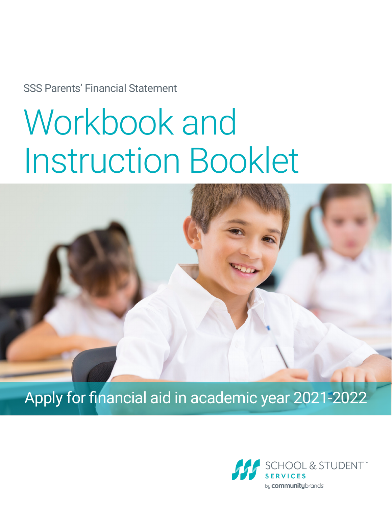SSS Parents' Financial Statement

# Workbook and Instruction Booklet



Apply for financial aid in academic year 2021-2022

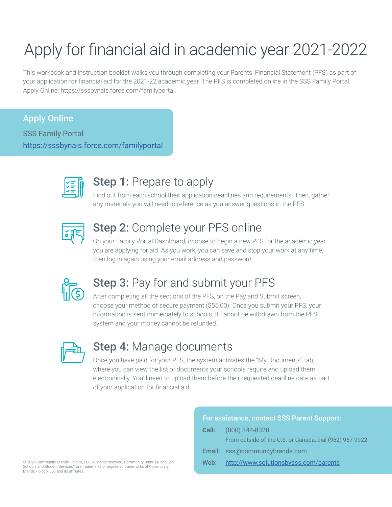## Apply for financial aid in academic year 2021-2022

This workbook and instruction booklet walks you through completing your Parents' Financial Statement (PFS) as part of your application for financial aid for the 2021-22 academic year. The PFS is completed online in the SSS Family Portal. Apply Online: https://sssbynais.force.com/familyportal.

#### Apply Online

SSS Family Portal <https://sssbynais.force.com/familyportal>



## Step 1: Prepare to apply

Find out from each school their application deadlines and requirements. Then, gather any materials you will need to reference as you answer questions in the PFS.



### **Step 2: Complete your PFS online**

On your Family Portal Dashboard, choose to begin a new PFS for the academic year you are applying for aid. As you work, you can save and stop your work at any time, then log in again using your email address and password.



## **Step 3: Pay for and submit your PFS**

After completing all the sections of the PFS, on the Pay and Submit screen, choose your method of secure payment (\$55.00). Once you submit your PFS, your information is sent immediately to schools. It cannot be withdrawn from the PFS system and your money cannot be refunded.



### **Step 4: Manage documents**

Once you have paid for your PFS, the system activates the "My Documents" tab, where you can view the list of documents your schools require and upload them electronically. You'll need to upload them before their requested deadline date as part of your application for financial aid.

|       | For assistance, contact SSS Parent Support:              |
|-------|----------------------------------------------------------|
| Call: | $(800)$ 344-8328                                         |
|       | From outside of the U.S. or Canada, dial (952) 967-9922. |
|       | Email: sss@communitybrands.com                           |
| Web:  | http://www.solutionsbysss.com/parents                    |
|       |                                                          |

© 2020 Community Brands HoldCo, LLC. All rights reserved. Community Brands® and SSS Schools and Student Services™ are trademarks or registered trademarks of Community Brands Holdco, LLC and its affiliates.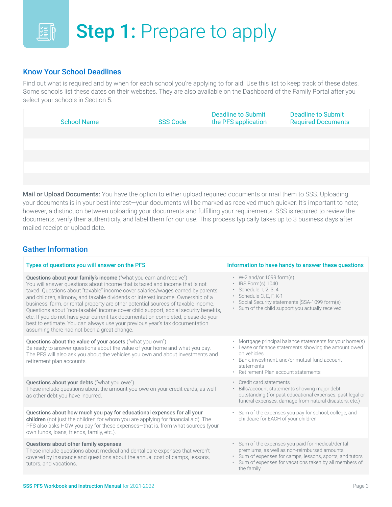### **Step 1: Prepare to apply** 国教

#### Know Your School Deadlines

Find out what is required and by when for each school you're applying to for aid. Use this list to keep track of these dates. Some schools list these dates on their websites. They are also available on the Dashboard of the Family Portal after you select your schools in Section 5.

| <b>School Name</b> | <b>SSS Code</b> | <b>Deadline to Submit</b><br>the PFS application | <b>Deadline to Submit</b><br><b>Required Documents</b> |
|--------------------|-----------------|--------------------------------------------------|--------------------------------------------------------|
|                    |                 |                                                  |                                                        |
|                    |                 |                                                  |                                                        |
|                    |                 |                                                  |                                                        |
|                    |                 |                                                  |                                                        |
|                    |                 |                                                  |                                                        |
|                    |                 |                                                  |                                                        |

Mail or Upload Documents: You have the option to either upload required documents or mail them to SSS. Uploading your documents is in your best interest—your documents will be marked as received much quicker. It's important to note; however, a distinction between uploading your documents and fulfilling your requirements. SSS is required to review the documents, verify their authenticity, and label them for our use. This process typically takes up to 3 business days after mailed receipt or upload date.

#### Gather Information

| Information to have handy to answer these questions                                                                                                                                                                                            |
|------------------------------------------------------------------------------------------------------------------------------------------------------------------------------------------------------------------------------------------------|
| $\cdot$ W-2 and/or 1099 form(s)<br>IRS Form(s) 1040<br>$\bullet$<br>· Schedule 1, 2, 3, 4<br>Schedule C, E, F, K-1<br>$\bullet$<br>Social Security statements [SSA-1099 form(s)<br>• Sum of the child support you actually received            |
| Mortgage principal balance statements for your home(s)<br>Lease or finance statements showing the amount owed<br>on vehicles<br>• Bank, investment, and/or mutual fund account<br>statements<br>Retirement Plan account statements             |
| • Credit card statements<br>Bills/account statements showing major debt<br>outstanding (for past educational expenses, past legal or<br>funeral expenses, damage from natural disasters, etc.)                                                 |
| • Sum of the expenses you pay for school, college, and<br>childcare for EACH of your children                                                                                                                                                  |
| · Sum of the expenses you paid for medical/dental<br>premiums, as well as non-reimbursed amounts<br>Sum of expenses for camps, lessons, sports, and tutors<br>Sum of expenses for vacations taken by all members of<br>$\bullet$<br>the family |
|                                                                                                                                                                                                                                                |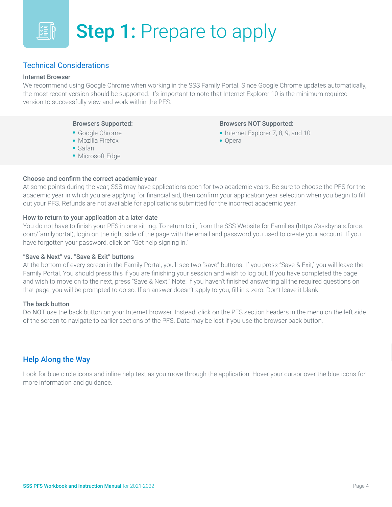

#### Technical Considerations

#### Internet Browser

We recommend using Google Chrome when working in the SSS Family Portal. Since Google Chrome updates automatically, the most recent version should be supported. It's important to note that Internet Explorer 10 is the minimum required version to successfully view and work within the PFS.

#### Browsers Supported:

- Google Chrome
- Mozilla Firefox
- Safari
- Microsoft Edge

#### Browsers NOT Supported:

- Internet Explorer 7, 8, 9, and 10
- Opera

#### Choose and confirm the correct academic year

At some points during the year, SSS may have applications open for two academic years. Be sure to choose the PFS for the academic year in which you are applying for financial aid, then confirm your application year selection when you begin to fill out your PFS. Refunds are not available for applications submitted for the incorrect academic year.

#### How to return to your application at a later date

You do not have to finish your PFS in one sitting. To return to it, from the SSS Website for Families (https://sssbynais.force. com/familyportal), login on the right side of the page with the email and password you used to create your account. If you have forgotten your password, click on "Get help signing in."

#### "Save & Next" vs. "Save & Exit" buttons

At the bottom of every screen in the Family Portal, you'll see two "save" buttons. If you press "Save & Exit," you will leave the Family Portal. You should press this if you are finishing your session and wish to log out. If you have completed the page and wish to move on to the next, press "Save & Next." Note: If you haven't finished answering all the required questions on that page, you will be prompted to do so. If an answer doesn't apply to you, fill in a zero. Don't leave it blank.

#### The back button

Do NOT use the back button on your Internet browser. Instead, click on the PFS section headers in the menu on the left side of the screen to navigate to earlier sections of the PFS. Data may be lost if you use the browser back button.

#### Help Along the Way

Look for blue circle icons and inline help text as you move through the application. Hover your cursor over the blue icons for more information and guidance.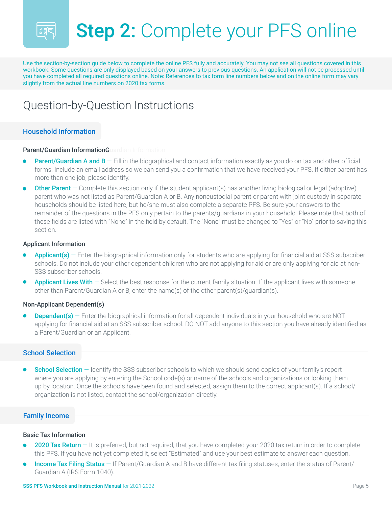

## Step 2: Complete your PFS online

Use the section-by-section guide below to complete the online PFS fully and accurately. You may not see all questions covered in this workbook. Some questions are only displayed based on your answers to previous questions. An application will not be processed until you have completed all required questions online. Note: References to tax form line numbers below and on the online form may vary slightly from the actual line numbers on 2020 tax forms.

## Question-by-Question Instructions

#### Household Information

#### Parent/Guardian InformationGuardian Information

- **Parent/Guardian A and B**  $-$  Fill in the biographical and contact information exactly as you do on tax and other official forms. Include an email address so we can send you a confirmation that we have received your PFS. If either parent has more than one job, please identify. •
- **Other Parent** Complete this section only if the student applicant(s) has another living biological or legal (adoptive) parent who was not listed as Parent/Guardian A or B. Any noncustodial parent or parent with joint custody in separate households should be listed here, but he/she must also complete a separate PFS. Be sure your answers to the remainder of the questions in the PFS only pertain to the parents/guardians in your household. Please note that both of these fields are listed with "None" in the field by default. The "None" must be changed to "Yes" or "No" prior to saving this section. •

#### Applicant Information

- **Applicant(s)**  $-$  Enter the biographical information only for students who are applying for financial aid at SSS subscriber schools. Do not include your other dependent children who are not applying for aid or are only applying for aid at non-SSS subscriber schools.
- **Applicant Lives With**  $-$  Select the best response for the current family situation. If the applicant lives with someone other than Parent/Guardian A or B, enter the name(s) of the other parent(s)/guardian(s).

#### Non-Applicant Dependent(s)

**Dependent(s)** – Enter the biographical information for all dependent individuals in your household who are NOT applying for financial aid at an SSS subscriber school. DO NOT add anyone to this section you have already identified as a Parent/Guardian or an Applicant.

#### School Selection

**School Selection** – Identify the SSS subscriber schools to which we should send copies of your family's report where you are applying by entering the School code(s) or name of the schools and organizations or looking them up by location. Once the schools have been found and selected, assign them to the correct applicant(s). If a school/ organization is not listed, contact the school/organization directly.

#### Family Income

#### Basic Tax Information

- **2020 Tax Return**  $-$  It is preferred, but not required, that you have completed your 2020 tax return in order to complete this PFS. If you have not yet completed it, select "Estimated" and use your best estimate to answer each question.
- Income Tax Filing Status If Parent/Guardian A and B have different tax filing statuses, enter the status of Parent/ Guardian A (IRS Form 1040).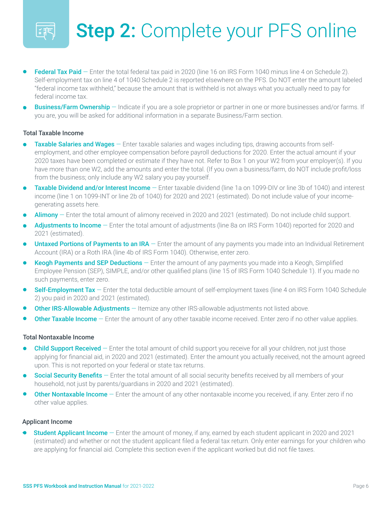

## Step 2: Complete your PFS online

- Federal Tax Paid Enter the total federal tax paid in 2020 (line 16 on IRS Form 1040 minus line 4 on Schedule 2). Self-employment tax on line 4 of 1040 Schedule 2 is reported elsewhere on the PFS. Do NOT enter the amount labeled "federal income tax withheld," because the amount that is withheld is not always what you actually need to pay for federal income tax.
- **Business/Farm Ownership** Indicate if you are a sole proprietor or partner in one or more businesses and/or farms. If you are, you will be asked for additional information in a separate Business/Farm section.

#### Total Taxable Income

- Taxable Salaries and Wages Enter taxable salaries and wages including tips, drawing accounts from selfemployment, and other employee compensation before payroll deductions for 2020. Enter the actual amount if your 2020 taxes have been completed or estimate if they have not. Refer to Box 1 on your W2 from your employer(s). If you have more than one W2, add the amounts and enter the total. (If you own a business/farm, do NOT include profit/loss from the business; only include any W2 salary you pay yourself.
- Taxable Dividend and/or Interest Income Enter taxable dividend (line 1a on 1099-DIV or line 3b of 1040) and interest income (line 1 on 1099-INT or line 2b of 1040) for 2020 and 2021 (estimated). Do not include value of your incomegenerating assets here.
- Alimony Enter the total amount of alimony received in 2020 and 2021 (estimated). Do not include child support.
- Adjustments to Income Enter the total amount of adjustments (line 8a on IRS Form 1040) reported for 2020 and 2021 (estimated).
- **Untaxed Portions of Payments to an IRA** Enter the amount of any payments you made into an Individual Retirement Account (IRA) or a Roth IRA (line 4b of IRS Form 1040). Otherwise, enter zero.
- **Keogh Payments and SEP Deductions** Enter the amount of any payments you made into a Keogh, Simplified Employee Pension (SEP), SIMPLE, and/or other qualified plans (line 15 of IRS Form 1040 Schedule 1). If you made no such payments, enter zero.
- **Self-Employment Tax** Enter the total deductible amount of self-employment taxes (line 4 on IRS Form 1040 Schedule 2) you paid in 2020 and 2021 (estimated).
- **Other IRS-Allowable Adjustments** Itemize any other IRS-allowable adjustments not listed above.
- **Other Taxable Income**  $-$  Enter the amount of any other taxable income received. Enter zero if no other value applies.

#### Total Nontaxable Income

- Child Support Received Enter the total amount of child support you receive for all your children, not just those applying for financial aid, in 2020 and 2021 (estimated). Enter the amount you actually received, not the amount agreed upon. This is not reported on your federal or state tax returns.
- Social Security Benefits Enter the total amount of all social security benefits received by all members of your household, not just by parents/guardians in 2020 and 2021 (estimated).
- Other Nontaxable Income Enter the amount of any other nontaxable income you received, if any. Enter zero if no other value applies.

#### Applicant Income

**Student Applicant Income** – Enter the amount of money, if any, earned by each student applicant in 2020 and 2021 (estimated) and whether or not the student applicant filed a federal tax return. Only enter earnings for your children who are applying for financial aid. Complete this section even if the applicant worked but did not file taxes.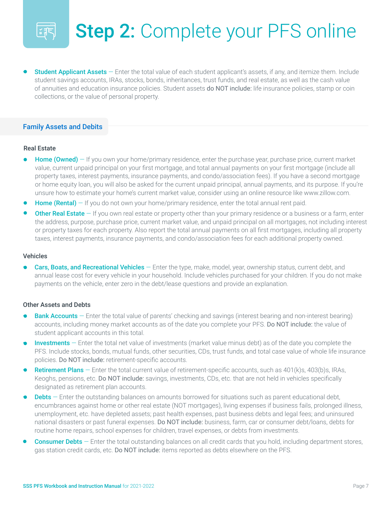

## Step 2: Complete your PFS online

**Student Applicant Assets** – Enter the total value of each student applicant's assets, if any, and itemize them. Include student savings accounts, IRAs, stocks, bonds, inheritances, trust funds, and real estate, as well as the cash value of annuities and education insurance policies. Student assets do NOT include: life insurance policies, stamp or coin collections, or the value of personal property.

#### Family Assets and Debits

#### Real Estate

- **Home (Owned)**  $-$  If you own your home/primary residence, enter the purchase year, purchase price, current market value, current unpaid principal on your first mortgage, and total annual payments on your first mortgage (include all property taxes, interest payments, insurance payments, and condo/association fees). If you have a second mortgage or home equity loan, you will also be asked for the current unpaid principal, annual payments, and its purpose. If you're unsure how to estimate your home's current market value, consider using an online resource like www.zillow.com.
- **Home (Rental)**  $-$  If you do not own your home/primary residence, enter the total annual rent paid.
- **Other Real Estate** If you own real estate or property other than your primary residence or a business or a farm, enter the address, purpose, purchase price, current market value, and unpaid principal on all mortgages, not including interest or property taxes for each property. Also report the total annual payments on all first mortgages, including all property taxes, interest payments, insurance payments, and condo/association fees for each additional property owned.

#### Vehicles

Cars, Boats, and Recreational Vehicles – Enter the type, make, model, year, ownership status, current debt, and annual lease cost for every vehicle in your household. Include vehicles purchased for your children. If you do not make payments on the vehicle, enter zero in the debt/lease questions and provide an explanation.

#### Other Assets and Debts

- **Bank Accounts** Enter the total value of parents' checking and savings (interest bearing and non-interest bearing) accounts, including money market accounts as of the date you complete your PFS. Do NOT include: the value of student applicant accounts in this total.
- **Investments**  $-$  Enter the total net value of investments (market value minus debt) as of the date you complete the PFS. Include stocks, bonds, mutual funds, other securities, CDs, trust funds, and total case value of whole life insurance policies. Do NOT include: retirement-specific accounts.
- **Retirement Plans** Enter the total current value of retirement-specific accounts, such as  $401(k)s$ ,  $403(b)s$ , IRAs, Keoghs, pensions, etc. Do NOT include: savings, investments, CDs, etc. that are not held in vehicles specifically designated as retirement plan accounts.
- **Debts** Enter the outstanding balances on amounts borrowed for situations such as parent educational debt, encumbrances against home or other real estate (NOT mortgages), living expenses if business fails, prolonged illness, unemployment, etc. have depleted assets; past health expenses, past business debts and legal fees; and uninsured national disasters or past funeral expenses. Do NOT include: business, farm, car or consumer debt/loans, debts for routine home repairs, school expenses for children, travel expenses, or debts from investments.
- **Consumer Debts** Enter the total outstanding balances on all credit cards that you hold, including department stores, gas station credit cards, etc. Do NOT include: items reported as debts elsewhere on the PFS.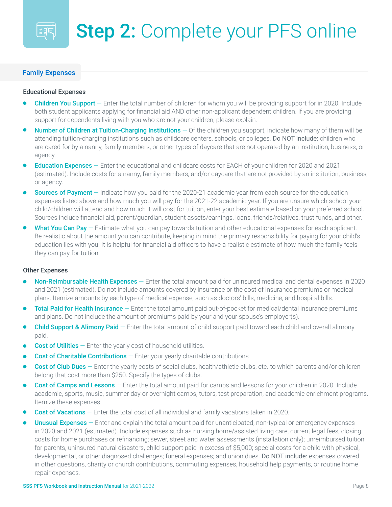#### Family Expenses

師

#### Educational Expenses

- **Children You Support** Enter the total number of children for whom you will be providing support for in 2020. Include both student applicants applying for financial aid AND other non-applicant dependent children. If you are providing support for dependents living with you who are not your children, please explain.
- Number of Children at Tuition-Charging Institutions Of the children you support, indicate how many of them will be attending tuition-charging institutions such as childcare centers, schools, or colleges. Do NOT include: children who are cared for by a nanny, family members, or other types of daycare that are not operated by an institution, business, or agency.
- **Education Expenses** Enter the educational and childcare costs for EACH of your children for 2020 and 2021 (estimated). Include costs for a nanny, family members, and/or daycare that are not provided by an institution, business, or agency.
- **Sources of Payment** Indicate how you paid for the 2020-21 academic year from each source for the education expenses listed above and how much you will pay for the 2021-22 academic year. If you are unsure which school your child/children will attend and how much it will cost for tuition, enter your best estimate based on your preferred school. Sources include financial aid, parent/guardian, student assets/earnings, loans, friends/relatives, trust funds, and other.
- What You Can Pay  $-$  Estimate what you can pay towards tuition and other educational expenses for each applicant. Be realistic about the amount you can contribute, keeping in mind the primary responsibility for paying for your child's education lies with you. It is helpful for financial aid officers to have a realistic estimate of how much the family feels they can pay for tuition.

#### Other Expenses

- Non-Reimbursable Health Expenses Enter the total amount paid for uninsured medical and dental expenses in 2020 and 2021 (estimated). Do not include amounts covered by insurance or the cost of insurance premiums or medical plans. Itemize amounts by each type of medical expense, such as doctors' bills, medicine, and hospital bills.
- Total Paid for Health Insurance Enter the total amount paid out-of-pocket for medical/dental insurance premiums and plans. Do not include the amount of premiums paid by your and your spouse's employer(s).
- Child Support & Alimony Paid Enter the total amount of child support paid toward each child and overall alimony paid.
- **Cost of Utilities**  $-$  Enter the yearly cost of household utilities.
- **Cost of Charitable Contributions**  $-$  Enter your yearly charitable contributions
- Cost of Club Dues Enter the yearly costs of social clubs, health/athletic clubs, etc. to which parents and/or children belong that cost more than \$250. Specify the types of clubs.
- **Cost of Camps and Lessons** Enter the total amount paid for camps and lessons for your children in 2020. Include academic, sports, music, summer day or overnight camps, tutors, test preparation, and academic enrichment programs. Itemize these expenses.
- **Cost of Vacations** Enter the total cost of all individual and family vacations taken in 2020.
- Unusual Expenses Enter and explain the total amount paid for unanticipated, non-typical or emergency expenses in 2020 and 2021 (estimated). Include expenses such as nursing home/assisted living care, current legal fees, closing costs for home purchases or refinancing; sewer, street and water assessments (installation only); unreimbursed tuition for parents, uninsured natural disasters, child support paid in excess of \$5,000; special costs for a child with physical, developmental, or other diagnosed challenges; funeral expenses; and union dues. Do NOT include: expenses covered in other questions, charity or church contributions, commuting expenses, household help payments, or routine home repair expenses.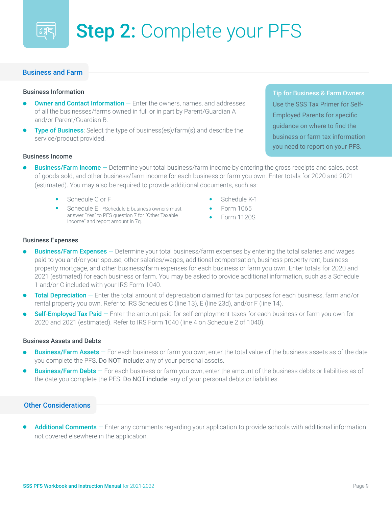

#### Business and Farm

#### Business Information

- **Owner and Contact Information**  $-$  Enter the owners, names, and addresses of all the businesses/farms owned in full or in part by Parent/Guardian A and/or Parent/Guardian B.
- **Type of Business**: Select the type of business(es)/farm(s) and describe the service/product provided.

Business Income

- **Business/Farm Income** Determine your total business/farm income by entering the gross receipts and sales, cost of goods sold, and other business/farm income for each business or farm you own. Enter totals for 2020 and 2021 (estimated). You may also be required to provide additional documents, such as:
	- Schedule C or F
	- Schedule E \*Schedule E business owners must answer "Yes" to PFS question 7 for "Other Taxable Income" and report amount in 7q.
- Schedule K-1
- Form 1065
- Form 1120S

#### Business Expenses

- **Business/Farm Expenses**  $-$  Determine your total business/farm expenses by entering the total salaries and wages paid to you and/or your spouse, other salaries/wages, additional compensation, business property rent, business property mortgage, and other business/farm expenses for each business or farm you own. Enter totals for 2020 and 2021 (estimated) for each business or farm. You may be asked to provide additional information, such as a Schedule 1 and/or C included with your IRS Form 1040.
- Total Depreciation Enter the total amount of depreciation claimed for tax purposes for each business, farm and/or rental property you own. Refer to IRS Schedules C (line 13), E (line 23d), and/or F (line 14).
- **Self-Employed Tax Paid** Enter the amount paid for self-employment taxes for each business or farm you own for 2020 and 2021 (estimated). Refer to IRS Form 1040 (line 4 on Schedule 2 of 1040).

#### Business Assets and Debts

- **Business/Farm Assets** For each business or farm you own, enter the total value of the business assets as of the date you complete the PFS. Do NOT include: any of your personal assets.
- **Business/Farm Debts** For each business or farm you own, enter the amount of the business debts or liabilities as of the date you complete the PFS. Do NOT include: any of your personal debts or liabilities.

#### Other Considerations

Additional Comments  $-$  Enter any comments regarding your application to provide schools with additional information not covered elsewhere in the application.

Tip for Business & Farm Owners Use the SSS Tax Primer for Self-Employed Parents for specific guidance on where to find the business or farm tax information you need to report on your PFS.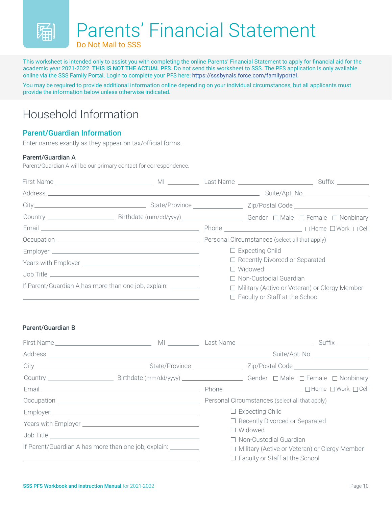

This worksheet is intended only to assist you with completing the online Parents' Financial Statement to apply for financial aid for the academic year 2021-2022. THIS IS NOT THE ACTUAL PFS. Do not send this worksheet to SSS. The PFS application is only available online via the SSS Family Portal. Login to complete your PFS here:<https://sssbynais.force.com/familyportal>.

You may be required to provide additional information online depending on your individual circumstances, but all applicants must provide the information below unless otherwise indicated.

## Household Information

#### Parent/Guardian Information

Enter names exactly as they appear on tax/official forms.

#### Parent/Guardian A

Parent/Guardian A will be our primary contact for correspondence.

|                                                                |                                                 | $\Box$ Expecting Child                |  |
|----------------------------------------------------------------|-------------------------------------------------|---------------------------------------|--|
|                                                                |                                                 | $\Box$ Recently Divorced or Separated |  |
|                                                                |                                                 | $\Box$ Widowed                        |  |
|                                                                |                                                 | □ Non-Custodial Guardian              |  |
| If Parent/Guardian A has more than one job, explain: _________ | □ Military (Active or Veteran) or Clergy Member |                                       |  |
|                                                                |                                                 | $\Box$ Faculty or Staff at the School |  |

#### Parent/Guardian B

|                                                                 | Personal Circumstances (select all that apply)  |                                       |  |                                       |
|-----------------------------------------------------------------|-------------------------------------------------|---------------------------------------|--|---------------------------------------|
|                                                                 |                                                 | $\Box$ Expecting Child                |  |                                       |
|                                                                 |                                                 |                                       |  | $\Box$ Recently Divorced or Separated |
|                                                                 |                                                 | $\Box$ Widowed                        |  |                                       |
|                                                                 |                                                 | □ Non-Custodial Guardian              |  |                                       |
| If Parent/Guardian A has more than one job, explain: __________ | □ Military (Active or Veteran) or Clergy Member |                                       |  |                                       |
|                                                                 |                                                 | $\Box$ Faculty or Staff at the School |  |                                       |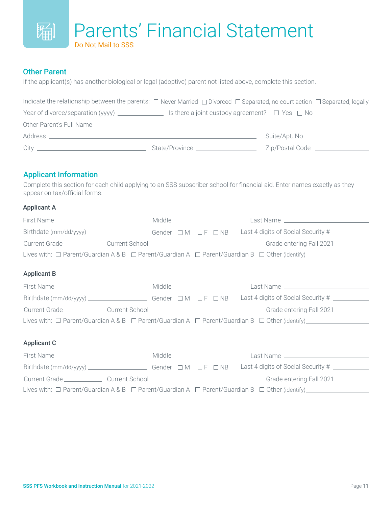#### Parents' Financial Statement 蹁 Do Not Mail to SSS

#### Other Parent

If the applicant(s) has another biological or legal (adoptive) parent not listed above, complete this section.

| Indicate the relationship between the parents: $\Box$ Never Married $\Box$ Divorced $\Box$ Separated, no court action $\Box$ Separated, legally |                                                          |                                  |
|-------------------------------------------------------------------------------------------------------------------------------------------------|----------------------------------------------------------|----------------------------------|
|                                                                                                                                                 | Is there a joint custody agreement? $\Box$ Yes $\Box$ No |                                  |
| Other Parent's Full Name                                                                                                                        |                                                          |                                  |
|                                                                                                                                                 |                                                          |                                  |
|                                                                                                                                                 | State/Province                                           | Zip/Postal Code ________________ |

#### Applicant Information

Complete this section for each child applying to an SSS subscriber school for financial aid. Enter names exactly as they appear on tax/official forms.

#### Applicant A

| Lives with: $\Box$ Parent/Guardian A & B $\Box$ Parent/Guardian A $\Box$ Parent/Guardian B $\Box$ Other (identify) |  |  |  |  |
|--------------------------------------------------------------------------------------------------------------------|--|--|--|--|
| <b>Applicant B</b>                                                                                                 |  |  |  |  |
|                                                                                                                    |  |  |  |  |
|                                                                                                                    |  |  |  |  |
|                                                                                                                    |  |  |  |  |
|                                                                                                                    |  |  |  |  |
| <b>Applicant C</b>                                                                                                 |  |  |  |  |
|                                                                                                                    |  |  |  |  |
|                                                                                                                    |  |  |  |  |
|                                                                                                                    |  |  |  |  |
| Lives with: $\Box$ Parent/Guardian A & B $\Box$ Parent/Guardian A $\Box$ Parent/Guardian B $\Box$ Other (identify) |  |  |  |  |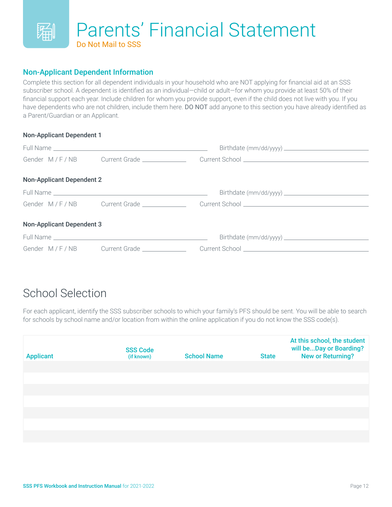

#### Non-Applicant Dependent Information

Complete this section for all dependent individuals in your household who are NOT applying for financial aid at an SSS subscriber school. A dependent is identified as an individual—child or adult—for whom you provide at least 50% of their financial support each year. Include children for whom you provide support, even if the child does not live with you. If you have dependents who are not children, include them here. DO NOT add anyone to this section you have already identified as a Parent/Guardian or an Applicant.

#### Non-Applicant Dependent 1

| <b>Non-Applicant Dependent 2</b> |                                          |  |
|----------------------------------|------------------------------------------|--|
|                                  |                                          |  |
|                                  |                                          |  |
| <b>Non-Applicant Dependent 3</b> |                                          |  |
|                                  |                                          |  |
|                                  | Gender M/F/NB Current Grade ____________ |  |

## School Selection

For each applicant, identify the SSS subscriber schools to which your family's PFS should be sent. You will be able to search for schools by school name and/or location from within the online application if you do not know the SSS code(s).

| <b>Applicant</b> | <b>SSS Code</b><br>(if known) | <b>School Name</b> | <b>State</b> | At this school, the student<br>will beDay or Boarding?<br><b>New or Returning?</b> |
|------------------|-------------------------------|--------------------|--------------|------------------------------------------------------------------------------------|
|                  |                               |                    |              |                                                                                    |
|                  |                               |                    |              |                                                                                    |
|                  |                               |                    |              |                                                                                    |
|                  |                               |                    |              |                                                                                    |
|                  |                               |                    |              |                                                                                    |
|                  |                               |                    |              |                                                                                    |
|                  |                               |                    |              |                                                                                    |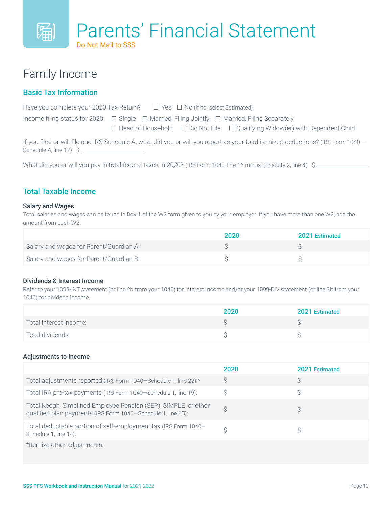## Family Income

#### Basic Tax Information

| Have you complete your 2020 Tax Return? $\square$ Yes $\square$ No (if no, select Estimated)                                      |  |
|-----------------------------------------------------------------------------------------------------------------------------------|--|
| Income filing status for 2020: $\Box$ Single $\Box$ Married, Filing Jointly $\Box$ Married, Filing Separately                     |  |
| $\Box$ Head of Household $\Box$ Did Not File $\Box$ Qualifying Widow(er) with Dependent Child                                     |  |
| If you filed or will file and IRS Schedule A, what did you or will you report as your total itemized deductions? (IRS Form 1040 – |  |

Schedule A, line 17) \$

What did you or will you pay in total federal taxes in 2020? (IRS Form 1040, line 16 minus Schedule 2, line 4) \$

#### Total Taxable Income

#### Salary and Wages

Total salaries and wages can be found in Box 1 of the W2 form given to you by your employer. If you have more than one W2, add the amount from each W2.

|                                         | 2020 | <b>2021 Estimated</b> |
|-----------------------------------------|------|-----------------------|
| Salary and wages for Parent/Guardian A: |      |                       |
| Salary and wages for Parent/Guardian B: |      |                       |

#### Dividends & Interest Income

Refer to your 1099-INT statement (or line 2b from your 1040) for interest income and/or your 1099-DIV statement (or line 3b from your 1040) for dividend income.

|                        | 2020 | 2021 Estimated |
|------------------------|------|----------------|
| Total interest income: |      |                |
| Total dividends:       |      |                |

#### Adjustments to Income

|                                                                                                                                  | 2020 | 2021 Estimated |
|----------------------------------------------------------------------------------------------------------------------------------|------|----------------|
| Total adjustments reported (IRS Form 1040–Schedule 1, line 22):*                                                                 | S    |                |
| Total IRA pre-tax payments (IRS Form 1040–Schedule 1, line 19):                                                                  |      |                |
| Total Keogh, Simplified Employee Pension (SEP), SIMPLE, or other<br>qualified plan payments (IRS Form 1040-Schedule 1, line 15): |      |                |
| Total deductable portion of self-employment tax (IRS Form 1040-<br>Schedule 1, line 14):                                         |      |                |
| *Itemize other adjustments:                                                                                                      |      |                |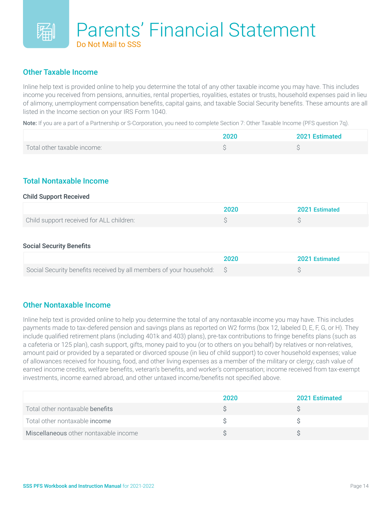#### Other Taxable Income

Inline help text is provided online to help you determine the total of any other taxable income you may have. This includes income you received from pensions, annuities, rental properties, royalities, estates or trusts, household expenses paid in lieu of alimony, unemployment compensation benefits, capital gains, and taxable Social Security benefits. These amounts are all listed in the Income section on your IRS Form 1040.

Note: If you are a part of a Partnership or S-Corporation, you need to complete Section 7: Other Taxable Income (PFS question 7q).

|                             | 2020 | 2021 Estimated |
|-----------------------------|------|----------------|
| Total other taxable income: |      |                |

#### Total Nontaxable Income

#### Child Support Received

|                                          | 2020 | 2021 Estimated |
|------------------------------------------|------|----------------|
| Child support received for ALL children: |      |                |

#### Social Security Benefits

|                                                                        | 2020 | 2021 Estimated |
|------------------------------------------------------------------------|------|----------------|
| Social Security benefits received by all members of your household: \$ |      |                |

#### Other Nontaxable Income

Inline help text is provided online to help you determine the total of any nontaxable income you may have. This includes payments made to tax-defered pension and savings plans as reported on W2 forms (box 12, labeled D, E, F, G, or H). They include qualified retirement plans (including 401k and 403) plans), pre-tax contributions to fringe benefits plans (such as a cafeteria or 125 plan), cash support, gifts, money paid to you (or to others on you behalf) by relatives or non-relatives, amount paid or provided by a separated or divorced spouse (in lieu of child support) to cover household expenses; value of allowances received for housing, food, and other living expenses as a member of the military or clergy; cash value of earned income credits, welfare benefits, veteran's benefits, and worker's compensation; income received from tax-exempt investments, income earned abroad, and other untaxed income/benefits not specified above.

|                                       | 2020 | <b>2021 Estimated</b> |
|---------------------------------------|------|-----------------------|
| Total other nontaxable benefits       |      |                       |
| Total other nontaxable income         |      |                       |
| Miscellaneous other nontaxable income |      |                       |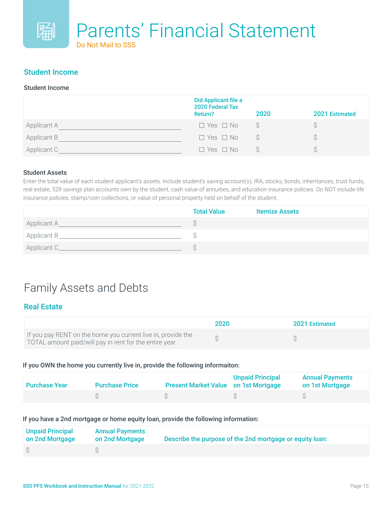#### Student Income

#### Student Income

|                    | Did Applicant file a<br>2020 Federal Tax<br>Return? | 2020 | 2021 Estimated |
|--------------------|-----------------------------------------------------|------|----------------|
| <b>Applicant A</b> | $\Box$ Yes $\Box$ No                                |      |                |
| Applicant B        | $\Box$ Yes $\Box$ No                                |      |                |
| Applicant C        | $\Box$ Yes $\Box$ No                                |      |                |

#### Student Assets

Enter the total value of each student applicant's assets. Include student's saving account(s), IRA, stocks, bonds, inheritances, trust funds, real estate, 529 savings plan accounts own by the student, cash value of annuities, and education insurance policies. Do NOT include life insurance policies, stamp/coin collections, or value of personal property held on behalf of the student.

|              | <b>Total Value</b> | <b>Itemize Assets</b> |
|--------------|--------------------|-----------------------|
| Applicant A_ |                    |                       |
| Applicant B_ |                    |                       |
| Applicant C_ |                    |                       |

### Family Assets and Debts

#### Real Estate

|                                                                                                                         | 2020 | 2021 Estimated |
|-------------------------------------------------------------------------------------------------------------------------|------|----------------|
| If you pay RENT on the home you current live in, provide the<br>TOTAL amount paid/will pay in rent for the entire year. |      |                |

#### If you OWN the home you currently live in, provide the following informaiton:

| <b>Purchase Year</b> | <b>Purchase Price</b> | <b>Present Market Value on 1st Mortgage</b> | <b>Unpaid Principal</b> | <b>Annual Payments</b><br>on 1st Mortgage |
|----------------------|-----------------------|---------------------------------------------|-------------------------|-------------------------------------------|
|                      |                       |                                             |                         |                                           |

If you have a 2nd mortgage or home equity loan, provide the following information:

| <b>Unpaid Principal</b><br>on 2nd Mortgage | <b>Annual Payments</b><br>on 2nd Mortgage | Describe the purpose of the 2nd mortgage or equity loan: |
|--------------------------------------------|-------------------------------------------|----------------------------------------------------------|
|                                            |                                           |                                                          |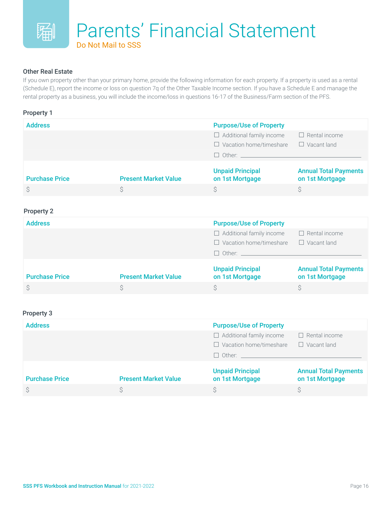#### Other Real Estate

If you own property other than your primary home, provide the following information for each property. If a property is used as a rental (Schedule E), report the income or loss on question 7q of the Other Taxable Income section. If you have a Schedule E and manage the rental property as a business, you will include the income/loss in questions 16-17 of the Business/Farm section of the PFS.

| <b>Property 1</b>     |                             |                                                                                           |                                                 |
|-----------------------|-----------------------------|-------------------------------------------------------------------------------------------|-------------------------------------------------|
| <b>Address</b>        |                             | <b>Purpose/Use of Property</b>                                                            |                                                 |
|                       |                             | $\Box$ Additional family income<br>$\Box$ Vacation home/timeshare<br>$\Box$ Other: $\_\_$ | $\Box$ Rental income<br>$\Box$ Vacant land      |
| <b>Purchase Price</b> | <b>Present Market Value</b> | <b>Unpaid Principal</b><br>on 1st Mortgage                                                | <b>Annual Total Payments</b><br>on 1st Mortgage |
| \$                    | Ŝ                           | S                                                                                         | Ŝ                                               |
|                       |                             |                                                                                           |                                                 |

#### Property 2

| <b>Address</b>        |                             | <b>Purpose/Use of Property</b>             |                                                 |
|-----------------------|-----------------------------|--------------------------------------------|-------------------------------------------------|
|                       |                             | $\Box$ Additional family income            | $\Box$ Rental income                            |
|                       |                             | $\Box$ Vacation home/timeshare             | $\Box$ Vacant land                              |
|                       |                             | $\Box$ Other:                              |                                                 |
| <b>Purchase Price</b> | <b>Present Market Value</b> | <b>Unpaid Principal</b><br>on 1st Mortgage | <b>Annual Total Payments</b><br>on 1st Mortgage |
|                       |                             |                                            |                                                 |

#### Property 3

| <b>Address</b>        |                             | <b>Purpose/Use of Property</b>             |                                                 |
|-----------------------|-----------------------------|--------------------------------------------|-------------------------------------------------|
|                       |                             | $\Box$ Additional family income            | $\Box$ Rental income                            |
|                       |                             | $\Box$ Vacation home/timeshare             | $\Box$ Vacant land                              |
|                       |                             | $\Box$ Other:                              |                                                 |
| <b>Purchase Price</b> | <b>Present Market Value</b> | <b>Unpaid Principal</b><br>on 1st Mortgage | <b>Annual Total Payments</b><br>on 1st Mortgage |
|                       |                             |                                            | S                                               |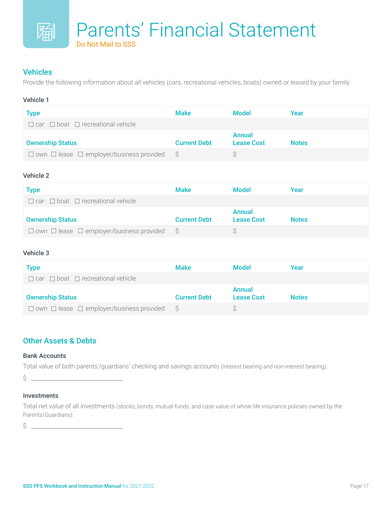#### Vehicles

Provide the following information about all vehicles (cars, recreational vehicles, boats) owned or leased by your family.

#### Vehicle 1

| Type                                               | <b>Make</b>         | <b>Model</b>      | Year         |
|----------------------------------------------------|---------------------|-------------------|--------------|
| $\Box$ car $\Box$ boat $\Box$ recreational vehicle |                     |                   |              |
|                                                    |                     | <b>Annual</b>     |              |
| <b>Ownership Status</b>                            | <b>Current Debt</b> | <b>Lease Cost</b> | <b>Notes</b> |

#### Vehicle 2

| Type                                                      | <b>Make</b>         | <b>Model</b>                | Year         |
|-----------------------------------------------------------|---------------------|-----------------------------|--------------|
| $\Box$ car $\Box$ boat $\Box$ recreational vehicle        |                     |                             |              |
| <b>Ownership Status</b>                                   | <b>Current Debt</b> | Annual<br><b>Lease Cost</b> | <b>Notes</b> |
| $\Box$ own $\Box$ lease $\Box$ employer/business provided |                     |                             |              |

#### Vehicle 3

| Type                                                      | <b>Make</b>         | <b>Model</b>                       | Year         |
|-----------------------------------------------------------|---------------------|------------------------------------|--------------|
| $\Box$ car $\Box$ boat $\Box$ recreational vehicle        |                     |                                    |              |
| <b>Ownership Status</b>                                   | <b>Current Debt</b> | <b>Annual</b><br><b>Lease Cost</b> | <b>Notes</b> |
| $\Box$ own $\Box$ lease $\Box$ employer/business provided | S S                 |                                    |              |

#### Other Assets & Debts

#### Bank Accounts

Total value of both parents'/guardians' checking and savings accounts (interest bearing and non-interest bearing):

 $\frac{1}{2}$ 

#### Investments

Total net value of all investments (stocks, bonds, mutual funds, and case value of whole life insurance policies owned by the Parents/Guardians):

 $\frac{1}{2}$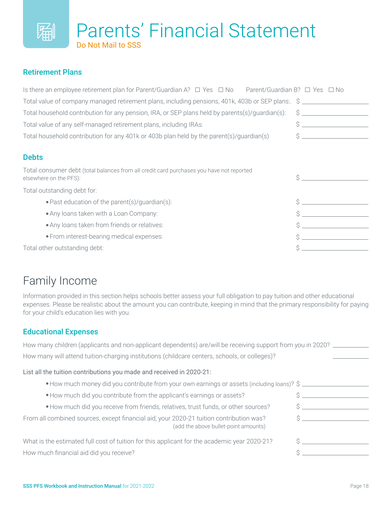

#### Retirement Plans

| Is there an employee retirement plan for Parent/Guardian A? $\Box$ Yes $\Box$ No Parent/Guardian B? $\Box$ Yes $\Box$ No |    |
|--------------------------------------------------------------------------------------------------------------------------|----|
| Total value of company managed retirement plans, including pensions, 401k, 403b or SEP plans: \$                         |    |
| Total household contribution for any pension, IRA, or SEP plans held by parents(s)/quardian(s):                          | S  |
| Total value of any self-managed retirement plans, including IRAs:                                                        | Ś  |
| Total household contribution for any 401k or 403b plan held by the parent(s)/guardian(s)                                 | Š  |
|                                                                                                                          |    |
| <b>Debts</b>                                                                                                             |    |
| Total consumer debt (total balances from all credit card purchases you have not reported<br>elsewhere on the PFS):       | Ś. |
| Total outstanding debt for:                                                                                              |    |
| • Past education of the parent(s)/guardian(s):                                                                           |    |
| • Any loans taken with a Loan Company:                                                                                   | Ś  |
| • Any loans taken from friends or relatives:                                                                             |    |
| • From interest-bearing medical expenses:                                                                                |    |
| Total other outstanding debt:                                                                                            |    |

## Family Income

Information provided in this section helps schools better assess your full obligation to pay tuition and other educational expenses. Please be realistic about the amount you can contribute, keeping in mind that the primary responsibility for paying for your child's education lies with you.

#### Educational Expenses

| How many children (applicants and non-applicant dependents) are/will be receiving support from you in 2020?                     |  |
|---------------------------------------------------------------------------------------------------------------------------------|--|
| How many will attend tuition-charging institutions (childcare centers, schools, or colleges)?                                   |  |
| List all the tuition contributions you made and received in 2020-21:                                                            |  |
| • How much money did you contribute from your own earnings or assets (including loans)? \$                                      |  |
| . How much did you contribute from the applicant's earnings or assets?                                                          |  |
| • How much did you receive from friends, relatives, trust funds, or other sources?                                              |  |
| From all combined sources, except financial aid, your 2020-21 tuition contribution was?<br>(add the above bullet-point amounts) |  |
| What is the estimated full cost of tuition for this applicant for the academic year 2020-21?                                    |  |
| How much financial aid did you receive?                                                                                         |  |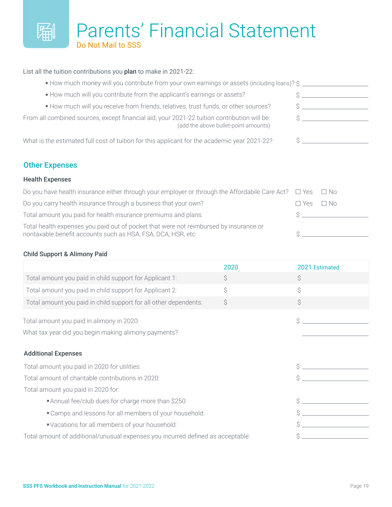## Parents' Financial Statement Do Not Mail to SSS

#### List all the tuition contributions you plan to make in 2021-22:

| • How much money will you contribute from your own earnings or assets (including loans)? \$                                         |  |
|-------------------------------------------------------------------------------------------------------------------------------------|--|
| • How much will you contribute from the applicant's earnings or assets?                                                             |  |
| • How much will you receive from friends, relatives, trust funds, or other sources?                                                 |  |
| From all combined sources, except financial aid, your 2021-22 tuition contribution will be:<br>(add the above bullet-point amounts) |  |
| What is the estimated full cost of tuition for this applicant for the academic year 2021-22?                                        |  |

#### Other Expenses

#### Health Expenses

鬮

| Do you have health insurance either through your employer or through the Affordabile Care Act? $\square$ Yes $\square$ No                             |                      |  |
|-------------------------------------------------------------------------------------------------------------------------------------------------------|----------------------|--|
| Do you carry health insurance through a business that your own?                                                                                       | $\Box$ Yes $\Box$ No |  |
| Total amount you paid for health insurance premiums and plans:                                                                                        |                      |  |
| Total health expenses you paid out of pocket that were not reimbursed by insurance or<br>nontaxable benefit accounts such as HSA, FSA, DCA, HSR, etc: |                      |  |

#### Child Support & Alimony Paid

|                                                                                 | 2020 | 2021 Estimated |
|---------------------------------------------------------------------------------|------|----------------|
| Total amount you paid in child support for Applicant 1:                         | \$   | Ŝ              |
| Total amount you paid in child support for Applicant 2:                         | \$   | \$             |
| Total amount you paid in child support for all other dependents:                | \$   | $\mathsf{S}$   |
| Total amount you paid in alimony in 2020:                                       |      | Ś              |
| What tax year did you begin making alimony payments?                            |      |                |
| <b>Additional Expenses</b>                                                      |      |                |
| Total amount you paid in 2020 for utilities:                                    |      |                |
| Total amount of charitable contributions in 2020:                               |      |                |
| Total amount you paid in 2020 for:                                              |      |                |
| • Annual fee/club dues for charge more than \$250:                              |      |                |
| • Camps and lessons for all members of your household:                          |      |                |
| • Vacations for all members of your household:                                  |      |                |
| Total amount of additional/unusual expenses you incurred defined as acceptable: |      |                |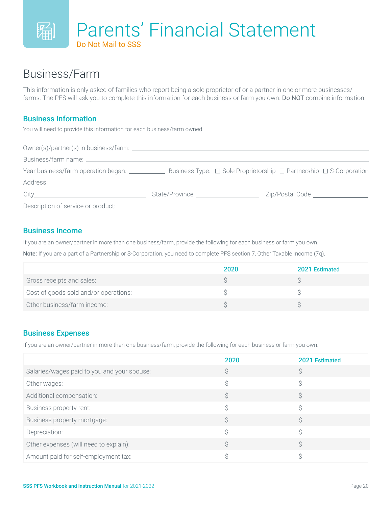

### Business/Farm

This information is only asked of families who report being a sole proprietor of or a partner in one or more businesses/ farms. The PFS will ask you to complete this information for each business or farm you own. Do NOT combine information.

#### Business Information

You will need to provide this information for each business/farm owned.

| Year business/farm operation began: ___________                                                                 |                                      | Business Type: $\Box$ Sole Proprietorship $\Box$ Partnership $\Box$ S-Corporation |
|-----------------------------------------------------------------------------------------------------------------|--------------------------------------|-----------------------------------------------------------------------------------|
| Address and the contract of the contract of the contract of the contract of the contract of the contract of the |                                      |                                                                                   |
|                                                                                                                 | State/Province _____________________ | Zip/Postal Code Learners and Code                                                 |
| Description of service or product:                                                                              |                                      |                                                                                   |

#### Business Income

If you are an owner/partner in more than one business/farm, provide the following for each business or farm you own.

Note: If you are a part of a Partnership or S-Corporation, you need to complete PFS section 7, Other Taxable Income (7q).

|                                       | 2020 | 2021 Estimated |
|---------------------------------------|------|----------------|
| Gross receipts and sales:             |      |                |
| Cost of goods sold and/or operations: |      |                |
| Other business/farm income:           |      |                |

#### Business Expenses

If you are an owner/partner in more than one business/farm, provide the following for each business or farm you own.

|                                             | 2020 | 2021 Estimated |
|---------------------------------------------|------|----------------|
| Salaries/wages paid to you and your spouse: |      |                |
| Other wages:                                |      | ⌒              |
| Additional compensation:                    |      |                |
| Business property rent:                     |      | S              |
| Business property mortgage:                 |      |                |
| Depreciation:                               |      |                |
| Other expenses (will need to explain):      |      |                |
| Amount paid for self-employment tax:        |      |                |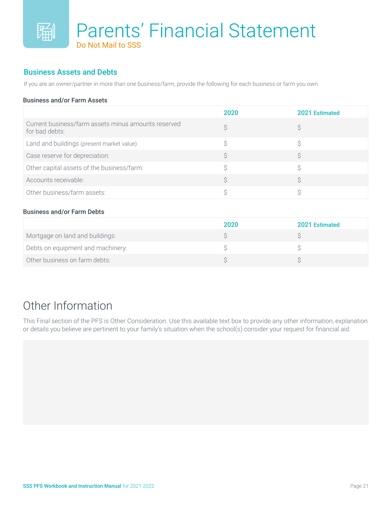#### Business Assets and Debts

If you are an owner/partner in more than one business/farm, provide the following for each business or farm you own.

#### Business and/or Farm Assets

|                                                                       | 2020 | 2021 Estimated |
|-----------------------------------------------------------------------|------|----------------|
| Current business/farm assets minus amounts reserved<br>for bad debts: |      |                |
| Land and buildings (present market value):                            |      |                |
| Case reserve for depreciation:                                        |      |                |
| Other capital assets of the business/farm:                            |      |                |
| Accounts receivable:                                                  |      |                |
| Other business/farm assets:                                           |      |                |

#### Business and/or Farm Debts

|                                   | 2020 | 2021 Estimated |
|-----------------------------------|------|----------------|
| Mortgage on land and buildings:   |      |                |
| Debts on equipment and machinery: |      |                |
| Other business on farm debts:     |      |                |

## Other Information

This Final section of the PFS is Other Consideration. Use this available text box to provide any other information, explanation or details you believe are pertinent to your family's situation when the school(s) consider your request for financial aid.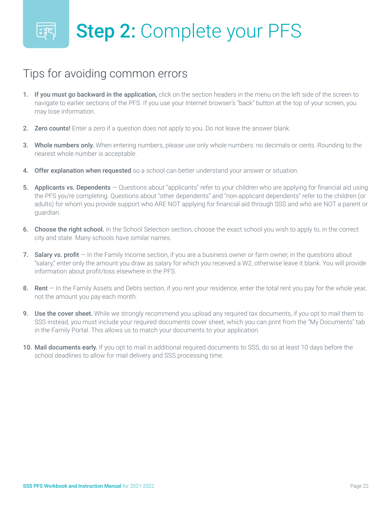## Tips for avoiding common errors

- 1. If you must go backward in the application, click on the section headers in the menu on the left side of the screen to navigate to earlier sections of the PFS. If you use your Internet browser's "back" button at the top of your screen, you may lose information.
- 2. Zero counts! Enter a zero if a question does not apply to you. Do not leave the answer blank.
- 3. Whole numbers only. When entering numbers, please use only whole numbers: no decimals or cents. Rounding to the nearest whole number is acceptable.
- 4. Offer explanation when requested so a school can better understand your answer or situation.
- 5. Applicants vs. Dependents Questions about "applicants" refer to your children who are applying for financial aid using the PFS you're completing. Questions about "other dependents" and "non-applicant dependents" refer to the children (or adults) for whom you provide support who ARE NOT applying for financial aid through SSS and who are NOT a parent or guardian.
- 6. Choose the right school. In the School Selection section, choose the exact school you wish to apply to, in the correct city and state. Many schools have similar names.
- 7. Salary vs. profit  $-$  In the Family Income section, if you are a business owner or farm owner, in the questions about "salary," enter only the amount you draw as salary for which you received a W2, otherwise leave it blank. You will provide information about profit/loss elsewhere in the PFS.
- 8. Rent In the Family Assets and Debts section, if you rent your residence, enter the total rent you pay for the whole year, not the amount you pay each month.
- 9. Use the cover sheet. While we strongly recommend you upload any required tax documents, if you opt to mail them to SSS instead, you must include your required documents cover sheet, which you can print from the "My Documents" tab in the Family Portal. This allows us to match your documents to your application.
- 10. Mail documents early. If you opt to mail in additional required documents to SSS, do so at least 10 days before the school deadlines to allow for mail delivery and SSS processing time.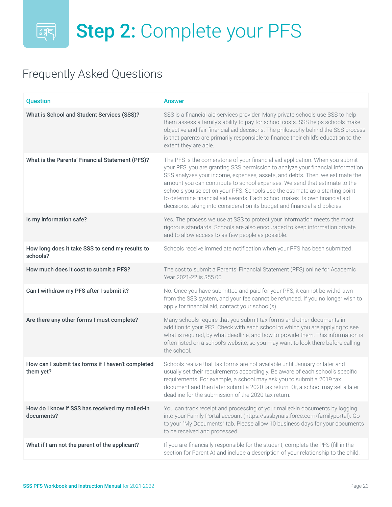## 图 Step 2: Complete your PFS

## Frequently Asked Questions

| <b>Question</b>                                                | <b>Answer</b>                                                                                                                                                                                                                                                                                                                                                                                                                                                                                                                                                                |
|----------------------------------------------------------------|------------------------------------------------------------------------------------------------------------------------------------------------------------------------------------------------------------------------------------------------------------------------------------------------------------------------------------------------------------------------------------------------------------------------------------------------------------------------------------------------------------------------------------------------------------------------------|
| What is School and Student Services (SSS)?                     | SSS is a financial aid services provider. Many private schools use SSS to help<br>them assess a family's ability to pay for school costs. SSS helps schools make<br>objective and fair financial aid decisions. The philosophy behind the SSS process<br>is that parents are primarily responsible to finance their child's education to the<br>extent they are able.                                                                                                                                                                                                        |
| What is the Parents' Financial Statement (PFS)?                | The PFS is the cornerstone of your financial aid application. When you submit<br>your PFS, you are granting SSS permission to analyze your financial information.<br>SSS analyzes your income, expenses, assets, and debts. Then, we estimate the<br>amount you can contribute to school expenses. We send that estimate to the<br>schools you select on your PFS. Schools use the estimate as a starting point<br>to determine financial aid awards. Each school makes its own financial aid<br>decisions, taking into consideration its budget and financial aid policies. |
| Is my information safe?                                        | Yes. The process we use at SSS to protect your information meets the most<br>rigorous standards. Schools are also encouraged to keep information private<br>and to allow access to as few people as possible.                                                                                                                                                                                                                                                                                                                                                                |
| How long does it take SSS to send my results to<br>schools?    | Schools receive immediate notification when your PFS has been submitted.                                                                                                                                                                                                                                                                                                                                                                                                                                                                                                     |
| How much does it cost to submit a PFS?                         | The cost to submit a Parents' Financial Statement (PFS) online for Academic<br>Year 2021-22 is \$55.00.                                                                                                                                                                                                                                                                                                                                                                                                                                                                      |
| Can I withdraw my PFS after I submit it?                       | No. Once you have submitted and paid for your PFS, it cannot be withdrawn<br>from the SSS system, and your fee cannot be refunded. If you no longer wish to<br>apply for financial aid, contact your school(s).                                                                                                                                                                                                                                                                                                                                                              |
| Are there any other forms I must complete?                     | Many schools require that you submit tax forms and other documents in<br>addition to your PFS. Check with each school to which you are applying to see<br>what is required, by what deadline, and how to provide them. This information is<br>often listed on a school's website, so you may want to look there before calling<br>the school.                                                                                                                                                                                                                                |
| How can I submit tax forms if I haven't completed<br>them yet? | Schools realize that tax forms are not available until January or later and<br>usually set their requirements accordingly. Be aware of each school's specific<br>requirements. For example, a school may ask you to submit a 2019 tax<br>document and then later submit a 2020 tax return. Or, a school may set a later<br>deadline for the submission of the 2020 tax return.                                                                                                                                                                                               |
| How do I know if SSS has received my mailed-in<br>documents?   | You can track receipt and processing of your mailed-in documents by logging<br>into your Family Portal account (https://sssbynais.force.com/familyportal). Go<br>to your "My Documents" tab. Please allow 10 business days for your documents<br>to be received and processed.                                                                                                                                                                                                                                                                                               |
| What if I am not the parent of the applicant?                  | If you are financially responsible for the student, complete the PFS (fill in the<br>section for Parent A) and include a description of your relationship to the child.                                                                                                                                                                                                                                                                                                                                                                                                      |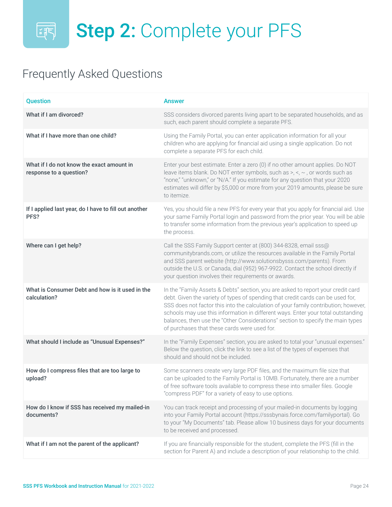## **图 Step 2: Complete your PFS**

## Frequently Asked Questions

| <b>Question</b>                                                      | <b>Answer</b>                                                                                                                                                                                                                                                                                                                                                                                                                                                                     |
|----------------------------------------------------------------------|-----------------------------------------------------------------------------------------------------------------------------------------------------------------------------------------------------------------------------------------------------------------------------------------------------------------------------------------------------------------------------------------------------------------------------------------------------------------------------------|
| What if I am divorced?                                               | SSS considers divorced parents living apart to be separated households, and as<br>such, each parent should complete a separate PFS.                                                                                                                                                                                                                                                                                                                                               |
| What if I have more than one child?                                  | Using the Family Portal, you can enter application information for all your<br>children who are applying for financial aid using a single application. Do not<br>complete a separate PFS for each child.                                                                                                                                                                                                                                                                          |
| What if I do not know the exact amount in<br>response to a question? | Enter your best estimate. Enter a zero (0) if no other amount applies. Do NOT<br>leave items blank. Do NOT enter symbols, such as $>$ , $\lt$ , $\sim$ , or words such as<br>"none," "unknown," or "N/A." If you estimate for any question that your 2020<br>estimates will differ by \$5,000 or more from your 2019 amounts, please be sure<br>to itemize.                                                                                                                       |
| If I applied last year, do I have to fill out another<br>PFS?        | Yes, you should file a new PFS for every year that you apply for financial aid. Use<br>your same Family Portal login and password from the prior year. You will be able<br>to transfer some information from the previous year's application to speed up<br>the process.                                                                                                                                                                                                          |
| Where can I get help?                                                | Call the SSS Family Support center at (800) 344-8328, email sss@<br>communitybrands.com, or utilize the resources available in the Family Portal<br>and SSS parent website (http://www.solutionsbysss.com/parents). From<br>outside the U.S. or Canada, dial (952) 967-9922. Contact the school directly if<br>your question involves their requirements or awards.                                                                                                               |
| What is Consumer Debt and how is it used in the<br>calculation?      | In the "Family Assets & Debts" section, you are asked to report your credit card<br>debt. Given the variety of types of spending that credit cards can be used for,<br>SSS does not factor this into the calculation of your family contribution; however,<br>schools may use this information in different ways. Enter your total outstanding<br>balances, then use the "Other Considerations" section to specify the main types<br>of purchases that these cards were used for. |
| What should I include as "Unusual Expenses?"                         | In the "Family Expenses" section, you are asked to total your "unusual expenses."<br>Below the question, click the link to see a list of the types of expenses that<br>should and should not be included.                                                                                                                                                                                                                                                                         |
| How do I compress files that are too large to<br>upload?             | Some scanners create very large PDF files, and the maximum file size that<br>can be uploaded to the Family Portal is 10MB. Fortunately, there are a number<br>of free software tools available to compress these into smaller files. Google<br>"compress PDF" for a variety of easy to use options.                                                                                                                                                                               |
| How do I know if SSS has received my mailed-in<br>documents?         | You can track receipt and processing of your mailed-in documents by logging<br>into your Family Portal account (https://sssbynais.force.com/familyportal). Go<br>to your "My Documents" tab. Please allow 10 business days for your documents<br>to be received and processed.                                                                                                                                                                                                    |
| What if I am not the parent of the applicant?                        | If you are financially responsible for the student, complete the PFS (fill in the<br>section for Parent A) and include a description of your relationship to the child.                                                                                                                                                                                                                                                                                                           |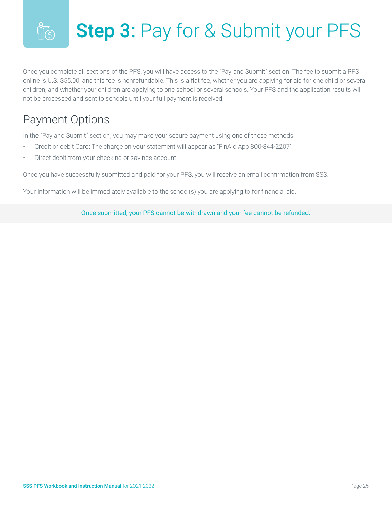### Step 3: Pay for & Submit your PFS  $\sqrt[6]{\ket{\mathfrak{g}}}$

Once you complete all sections of the PFS, you will have access to the "Pay and Submit" section. The fee to submit a PFS online is U.S. \$55.00, and this fee is nonrefundable. This is a flat fee, whether you are applying for aid for one child or several children, and whether your children are applying to one school or several schools. Your PFS and the application results will not be processed and sent to schools until your full payment is received.

## Payment Options

In the "Pay and Submit" section, you may make your secure payment using one of these methods:

- Credit or debit Card: The charge on your statement will appear as "FinAid App 800-844-2207"
- Direct debit from your checking or savings account

Once you have successfully submitted and paid for your PFS, you will receive an email confirmation from SSS.

Your information will be immediately available to the school(s) you are applying to for financial aid.

Once submitted, your PFS cannot be withdrawn and your fee cannot be refunded.